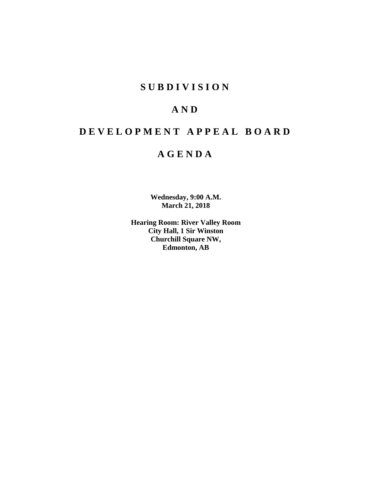## **SUBDIVISION**

# **AND**

# **DEVELOPMENT APPEAL BOARD**

## **AGENDA**

**Wednesday, 9:00 A.M. March 21, 2018**

**Hearing Room: River Valley Room City Hall, 1 Sir Winston Churchill Square NW, Edmonton, AB**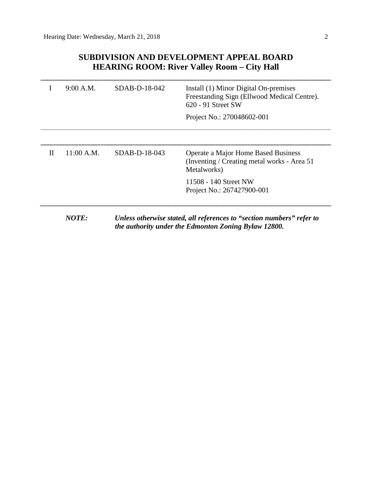## **SUBDIVISION AND DEVELOPMENT APPEAL BOARD HEARING ROOM: River Valley Room – City Hall**

|   | 9:00 A.M.    | $SDAB-D-18-042$ | Install (1) Minor Digital On-premises<br>Freestanding Sign (Ellwood Medical Centre).<br>$620 - 91$ Street SW<br>Project No.: 270048602-001 |
|---|--------------|-----------------|--------------------------------------------------------------------------------------------------------------------------------------------|
|   |              |                 |                                                                                                                                            |
| H | $11:00$ A.M. | $SDAB-D-18-043$ | Operate a Major Home Based Business<br>(Inventing / Creating metal works - Area 51)<br>Metalworks)                                         |
|   |              |                 | 11508 - 140 Street NW<br>Project No.: 267427900-001                                                                                        |
|   | NOTF:        |                 | Unless otherwise stated, all references to "section numbers" refer to<br>the authority under the Edmonton Zoning Bylaw 12800.              |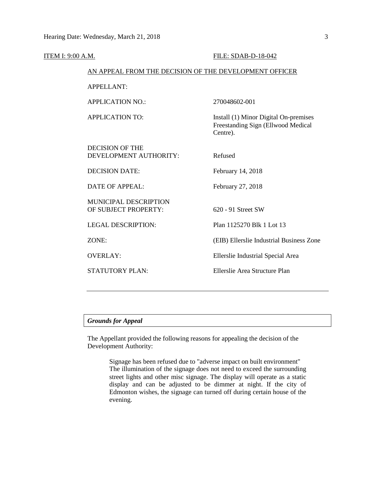| ITEM I: 9:00 A.M. |                                                        | FILE: SDAB-D-18-042                                                                     |
|-------------------|--------------------------------------------------------|-----------------------------------------------------------------------------------------|
|                   | AN APPEAL FROM THE DECISION OF THE DEVELOPMENT OFFICER |                                                                                         |
|                   | <b>APPELLANT:</b>                                      |                                                                                         |
|                   | <b>APPLICATION NO.:</b>                                | 270048602-001                                                                           |
|                   | <b>APPLICATION TO:</b>                                 | Install (1) Minor Digital On-premises<br>Freestanding Sign (Ellwood Medical<br>Centre). |
|                   | <b>DECISION OF THE</b><br>DEVELOPMENT AUTHORITY:       | Refused                                                                                 |
|                   | <b>DECISION DATE:</b>                                  | February 14, 2018                                                                       |
|                   | <b>DATE OF APPEAL:</b>                                 | February 27, 2018                                                                       |
|                   | MUNICIPAL DESCRIPTION<br>OF SUBJECT PROPERTY:          | 620 - 91 Street SW                                                                      |
|                   | <b>LEGAL DESCRIPTION:</b>                              | Plan 1125270 Blk 1 Lot 13                                                               |
|                   | ZONE:                                                  | (EIB) Ellerslie Industrial Business Zone                                                |
|                   | <b>OVERLAY:</b>                                        | Ellerslie Industrial Special Area                                                       |
|                   | <b>STATUTORY PLAN:</b>                                 | Ellerslie Area Structure Plan                                                           |
|                   |                                                        |                                                                                         |

## *Grounds for Appeal*

The Appellant provided the following reasons for appealing the decision of the Development Authority:

> Signage has been refused due to "adverse impact on built environment" The illumination of the signage does not need to exceed the surrounding street lights and other misc signage. The display will operate as a static display and can be adjusted to be dimmer at night. If the city of Edmonton wishes, the signage can turned off during certain house of the evening.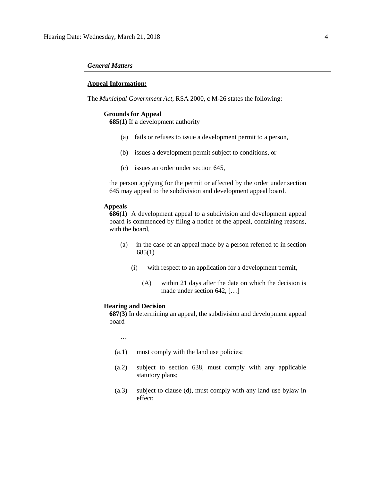#### *General Matters*

#### **Appeal Information:**

The *Municipal Government Act*, RSA 2000, c M-26 states the following:

#### **Grounds for Appeal**

**685(1)** If a development authority

- (a) fails or refuses to issue a development permit to a person,
- (b) issues a development permit subject to conditions, or
- (c) issues an order under section 645,

the person applying for the permit or affected by the order under section 645 may appeal to the subdivision and development appeal board.

#### **Appeals**

**686(1)** A development appeal to a subdivision and development appeal board is commenced by filing a notice of the appeal, containing reasons, with the board,

- (a) in the case of an appeal made by a person referred to in section 685(1)
	- (i) with respect to an application for a development permit,
		- (A) within 21 days after the date on which the decision is made under section 642, […]

#### **Hearing and Decision**

**687(3)** In determining an appeal, the subdivision and development appeal board

…

- (a.1) must comply with the land use policies;
- (a.2) subject to section 638, must comply with any applicable statutory plans;
- (a.3) subject to clause (d), must comply with any land use bylaw in effect;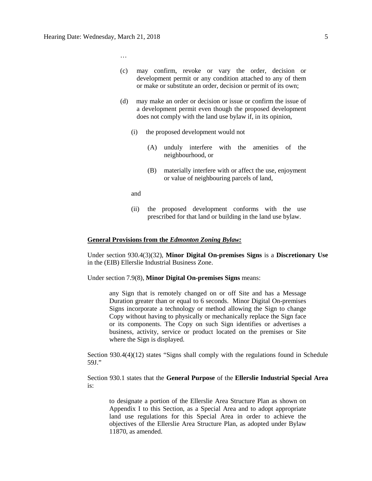…

- (c) may confirm, revoke or vary the order, decision or development permit or any condition attached to any of them or make or substitute an order, decision or permit of its own;
- (d) may make an order or decision or issue or confirm the issue of a development permit even though the proposed development does not comply with the land use bylaw if, in its opinion,
	- (i) the proposed development would not
		- (A) unduly interfere with the amenities of the neighbourhood, or
		- (B) materially interfere with or affect the use, enjoyment or value of neighbouring parcels of land,
	- and
	- (ii) the proposed development conforms with the use prescribed for that land or building in the land use bylaw.

#### **General Provisions from the** *Edmonton Zoning Bylaw:*

Under section 930.4(3)(32), **Minor Digital On-premises Signs** is a **Discretionary Use** in the (EIB) Ellerslie Industrial Business Zone.

Under section 7.9(8), **Minor Digital On-premises Signs** means:

any Sign that is remotely changed on or off Site and has a Message Duration greater than or equal to 6 seconds. Minor Digital On-premises Signs incorporate a technology or method allowing the Sign to change Copy without having to physically or mechanically replace the Sign face or its components. The Copy on such Sign identifies or advertises a business, activity, service or product located on the premises or Site where the Sign is displayed.

Section 930.4(4)(12) states "Signs shall comply with the regulations found in Schedule 59J."

Section 930.1 states that the **General Purpose** of the **Ellerslie Industrial Special Area** is:

to designate a portion of the Ellerslie Area Structure Plan as shown on Appendix I to this Section, as a Special Area and to adopt appropriate land use regulations for this Special Area in order to achieve the objectives of the Ellerslie Area Structure Plan, as adopted under Bylaw 11870, as amended.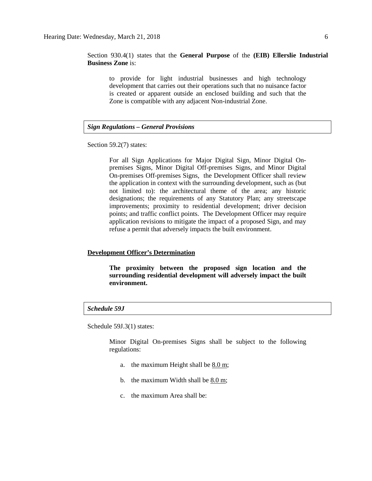Section 930.4(1) states that the **General Purpose** of the **(EIB) Ellerslie Industrial Business Zone** is:

to provide for light industrial businesses and high technology development that carries out their operations such that no nuisance factor is created or apparent outside an enclosed building and such that the Zone is compatible with any adjacent Non-industrial Zone.

## *Sign Regulations – General Provisions*

Section 59.2(7) states:

For all Sign Applications for Major Digital Sign, Minor Digital Onpremises Signs, Minor Digital Off-premises Signs, and Minor Digital On-premises Off-premises Signs, the Development Officer shall review the application in context with the surrounding development, such as (but not limited to): the architectural theme of the area; any historic designations; the requirements of any Statutory Plan; any streetscape improvements; proximity to residential development; driver decision points; and traffic conflict points. The Development Officer may require application revisions to mitigate the impact of a proposed Sign, and may refuse a permit that adversely impacts the built environment.

#### **Development Officer's Determination**

**The proximity between the proposed sign location and the surrounding residential development will adversely impact the built environment.**

#### *Schedule 59J*

Schedule 59J.3(1) states:

Minor Digital On-premises Signs shall be subject to the following regulations:

- a. the maximum Height shall be [8.0 m;](javascript:void(0);)
- b. the maximum Width shall be  $8.0 \text{ m}$ ;
- c. the maximum Area shall be: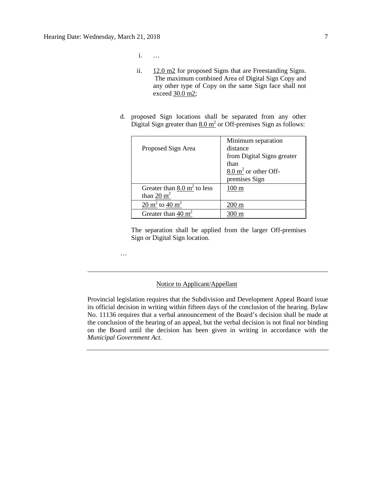i. …

…

- ii. [12.0 m2](javascript:void(0);) for proposed Signs that are Freestanding Signs. The maximum combined Area of Digital Sign Copy and any other type of Copy on the same Sign face shall not exceed [30.0 m2;](javascript:void(0);)
- d. proposed Sign locations shall be separated from any other Digital Sign greater than  $8.0 \text{ m}^2$  or Off-premises Sign as follows:

|                                        | Minimum separation              |
|----------------------------------------|---------------------------------|
| Proposed Sign Area                     | distance                        |
|                                        | from Digital Signs greater      |
|                                        | than                            |
|                                        | $8.0 \text{ m}^2$ or other Off- |
|                                        | premises Sign                   |
| Greater than $8.0 \text{ m}^2$ to less | $100 \text{ m}$                 |
| than 20 $m2$                           |                                 |
| 20 $\text{m}^2$ to 40 $\text{m}^2$     | 200 m                           |
| Greater than 40 $m2$                   |                                 |

The separation shall be applied from the larger Off-premises Sign or Digital Sign location.

## Notice to Applicant/Appellant

Provincial legislation requires that the Subdivision and Development Appeal Board issue its official decision in writing within fifteen days of the conclusion of the hearing. Bylaw No. 11136 requires that a verbal announcement of the Board's decision shall be made at the conclusion of the hearing of an appeal, but the verbal decision is not final nor binding on the Board until the decision has been given in writing in accordance with the *Municipal Government Act*.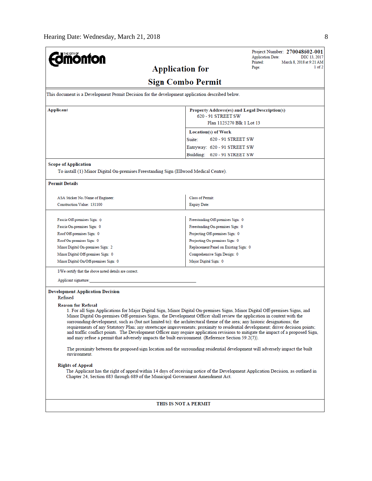| <b>monton</b>                                                                                             | Project Number: 270048602-001<br><b>Application Date:</b><br>DEC 13, 2017                                                                                                                                                                                                                                                                                                                                                                                                                                                                                                                                                                                                                                                                                         |
|-----------------------------------------------------------------------------------------------------------|-------------------------------------------------------------------------------------------------------------------------------------------------------------------------------------------------------------------------------------------------------------------------------------------------------------------------------------------------------------------------------------------------------------------------------------------------------------------------------------------------------------------------------------------------------------------------------------------------------------------------------------------------------------------------------------------------------------------------------------------------------------------|
|                                                                                                           | Printed:<br>March 8, 2018 at 9:21 AM<br>$1$ of $2$<br>Page:<br><b>Application for</b>                                                                                                                                                                                                                                                                                                                                                                                                                                                                                                                                                                                                                                                                             |
|                                                                                                           | <b>Sign Combo Permit</b>                                                                                                                                                                                                                                                                                                                                                                                                                                                                                                                                                                                                                                                                                                                                          |
| This document is a Development Permit Decision for the development application described below.           |                                                                                                                                                                                                                                                                                                                                                                                                                                                                                                                                                                                                                                                                                                                                                                   |
| Applicant                                                                                                 | Property Address(es) and Legal Description(s)<br>620 - 91 STREET SW<br>Plan 1125270 Blk 1 Lot 13                                                                                                                                                                                                                                                                                                                                                                                                                                                                                                                                                                                                                                                                  |
|                                                                                                           | Location(s) of Work                                                                                                                                                                                                                                                                                                                                                                                                                                                                                                                                                                                                                                                                                                                                               |
|                                                                                                           | 620 - 91 STREET SW<br>Suite:                                                                                                                                                                                                                                                                                                                                                                                                                                                                                                                                                                                                                                                                                                                                      |
|                                                                                                           | Entryway: 620 - 91 STREET SW                                                                                                                                                                                                                                                                                                                                                                                                                                                                                                                                                                                                                                                                                                                                      |
|                                                                                                           | Building: 620 - 91 STREET SW                                                                                                                                                                                                                                                                                                                                                                                                                                                                                                                                                                                                                                                                                                                                      |
| <b>Scope of Application</b>                                                                               |                                                                                                                                                                                                                                                                                                                                                                                                                                                                                                                                                                                                                                                                                                                                                                   |
| To install (1) Minor Digital On-premises Freestanding Sign (Ellwood Medical Centre).                      |                                                                                                                                                                                                                                                                                                                                                                                                                                                                                                                                                                                                                                                                                                                                                                   |
| <b>Permit Details</b>                                                                                     |                                                                                                                                                                                                                                                                                                                                                                                                                                                                                                                                                                                                                                                                                                                                                                   |
| ASA Sticker No./Name of Engineer:                                                                         | <b>Class of Permit:</b>                                                                                                                                                                                                                                                                                                                                                                                                                                                                                                                                                                                                                                                                                                                                           |
| Construction Value: 131100                                                                                | <b>Expiry Date:</b>                                                                                                                                                                                                                                                                                                                                                                                                                                                                                                                                                                                                                                                                                                                                               |
|                                                                                                           |                                                                                                                                                                                                                                                                                                                                                                                                                                                                                                                                                                                                                                                                                                                                                                   |
| Fascia Off-premises Sign: 0                                                                               | Freestanding Off-premises Sign: 0                                                                                                                                                                                                                                                                                                                                                                                                                                                                                                                                                                                                                                                                                                                                 |
| Fascia On-premises Sign: 0                                                                                | Freestanding On-premises Sign: 0                                                                                                                                                                                                                                                                                                                                                                                                                                                                                                                                                                                                                                                                                                                                  |
| Roof Off-premises Sign: 0                                                                                 | Projecting Off-premises Sign: 0                                                                                                                                                                                                                                                                                                                                                                                                                                                                                                                                                                                                                                                                                                                                   |
| Roof On-premises Sign: 0                                                                                  | Projecting On-premises Sign: 0                                                                                                                                                                                                                                                                                                                                                                                                                                                                                                                                                                                                                                                                                                                                    |
| Minor Digital On-premises Sign: 2                                                                         | Replacement Panel on Existing Sign: 0                                                                                                                                                                                                                                                                                                                                                                                                                                                                                                                                                                                                                                                                                                                             |
| Minor Digital Off-premises Sign: 0                                                                        | Comprehensive Sign Design: 0                                                                                                                                                                                                                                                                                                                                                                                                                                                                                                                                                                                                                                                                                                                                      |
| Minor Digital On/Off-premises Sign: 0                                                                     | Major Digital Sign: 0                                                                                                                                                                                                                                                                                                                                                                                                                                                                                                                                                                                                                                                                                                                                             |
| I/We certify that the above noted details are correct.                                                    |                                                                                                                                                                                                                                                                                                                                                                                                                                                                                                                                                                                                                                                                                                                                                                   |
| Applicant signature:                                                                                      |                                                                                                                                                                                                                                                                                                                                                                                                                                                                                                                                                                                                                                                                                                                                                                   |
| <b>Development Application Decision</b><br>Refused                                                        |                                                                                                                                                                                                                                                                                                                                                                                                                                                                                                                                                                                                                                                                                                                                                                   |
| <b>Reason for Refusal</b>                                                                                 | 1. For all Sign Applications for Major Digital Sign, Minor Digital On-premises Signs, Minor Digital Off-premises Signs, and<br>Minor Digital On-premises Off-premises Signs, the Development Officer shall review the application in context with the<br>surrounding development, such as (but not limited to): the architectural theme of the area; any historic designations; the<br>requirements of any Statutory Plan; any streetscape improvements; proximity to residential development; driver decision points;<br>and traffic conflict points. The Development Officer may require application revisions to mitigate the impact of a proposed Sign,<br>and may refuse a permit that adversely impacts the built environment. (Reference Section 59.2(7)). |
| environment.                                                                                              | The proximity between the proposed sign location and the surrounding residential development will adversely impact the built                                                                                                                                                                                                                                                                                                                                                                                                                                                                                                                                                                                                                                      |
| <b>Rights of Appeal</b><br>Chapter 24, Section 683 through 689 of the Municipal Government Amendment Act. | The Applicant has the right of appeal within 14 days of receiving notice of the Development Application Decision, as outlined in                                                                                                                                                                                                                                                                                                                                                                                                                                                                                                                                                                                                                                  |
|                                                                                                           | THIS IS NOT A PERMIT                                                                                                                                                                                                                                                                                                                                                                                                                                                                                                                                                                                                                                                                                                                                              |
|                                                                                                           |                                                                                                                                                                                                                                                                                                                                                                                                                                                                                                                                                                                                                                                                                                                                                                   |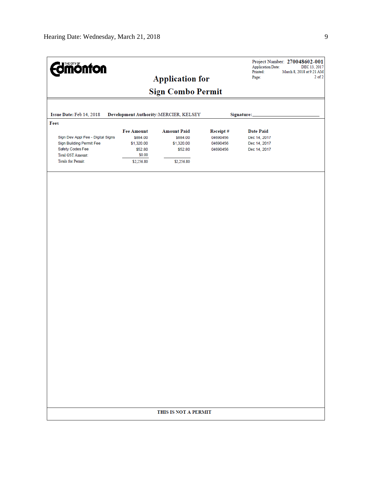| <b>Edmönton</b>                   |                               |                                        |                      |                                  | Project Number: 270048602-001<br><b>Application Date:</b><br>DEC 13, 2017<br>Printed:<br>March 8, 2018 at 9:21 AM |  |  |
|-----------------------------------|-------------------------------|----------------------------------------|----------------------|----------------------------------|-------------------------------------------------------------------------------------------------------------------|--|--|
|                                   |                               | <b>Application for</b>                 |                      | Page:                            | $2$ of $2$                                                                                                        |  |  |
|                                   |                               | <b>Sign Combo Permit</b>               |                      |                                  |                                                                                                                   |  |  |
|                                   |                               |                                        |                      |                                  |                                                                                                                   |  |  |
|                                   |                               |                                        |                      |                                  |                                                                                                                   |  |  |
| Issue Date: Feb 14, 2018          |                               | Development Authority: MERCIER, KELSEY |                      | Signature:                       |                                                                                                                   |  |  |
| Fees                              |                               |                                        |                      |                                  |                                                                                                                   |  |  |
| Sign Dev Appl Fee - Digital Signs | <b>Fee Amount</b><br>\$884.00 | <b>Amount Paid</b><br>\$884.00         | Receipt#<br>04690456 | <b>Date Paid</b><br>Dec 14, 2017 |                                                                                                                   |  |  |
| Sign Building Permit Fee          | \$1,320.00                    | \$1,320.00                             | 04690456             | Dec 14, 2017                     |                                                                                                                   |  |  |
| Safety Codes Fee                  | \$52.80                       | \$52.80                                | 04690456             | Dec 14, 2017                     |                                                                                                                   |  |  |
| <b>Total GST Amount:</b>          | \$0.00                        |                                        |                      |                                  |                                                                                                                   |  |  |
| <b>Totals for Permit:</b>         | \$2,256.80                    | \$2,256.80                             |                      |                                  |                                                                                                                   |  |  |
|                                   |                               |                                        |                      |                                  |                                                                                                                   |  |  |
|                                   |                               |                                        |                      |                                  |                                                                                                                   |  |  |
|                                   |                               |                                        |                      |                                  |                                                                                                                   |  |  |
|                                   |                               |                                        |                      |                                  |                                                                                                                   |  |  |
|                                   |                               |                                        |                      |                                  |                                                                                                                   |  |  |
|                                   |                               |                                        |                      |                                  |                                                                                                                   |  |  |
|                                   |                               |                                        |                      |                                  |                                                                                                                   |  |  |
|                                   |                               |                                        |                      |                                  |                                                                                                                   |  |  |
|                                   |                               |                                        |                      |                                  |                                                                                                                   |  |  |
|                                   |                               |                                        |                      |                                  |                                                                                                                   |  |  |
|                                   |                               |                                        |                      |                                  |                                                                                                                   |  |  |
|                                   |                               |                                        |                      |                                  |                                                                                                                   |  |  |
|                                   |                               |                                        |                      |                                  |                                                                                                                   |  |  |
|                                   |                               |                                        |                      |                                  |                                                                                                                   |  |  |
|                                   |                               |                                        |                      |                                  |                                                                                                                   |  |  |
|                                   |                               |                                        |                      |                                  |                                                                                                                   |  |  |
|                                   |                               |                                        |                      |                                  |                                                                                                                   |  |  |
|                                   |                               |                                        |                      |                                  |                                                                                                                   |  |  |
|                                   |                               |                                        |                      |                                  |                                                                                                                   |  |  |
|                                   |                               |                                        |                      |                                  |                                                                                                                   |  |  |
|                                   |                               |                                        |                      |                                  |                                                                                                                   |  |  |
|                                   |                               |                                        |                      |                                  |                                                                                                                   |  |  |
|                                   |                               |                                        |                      |                                  |                                                                                                                   |  |  |
|                                   |                               |                                        |                      |                                  |                                                                                                                   |  |  |
|                                   |                               |                                        |                      |                                  |                                                                                                                   |  |  |
| THIS IS NOT A PERMIT              |                               |                                        |                      |                                  |                                                                                                                   |  |  |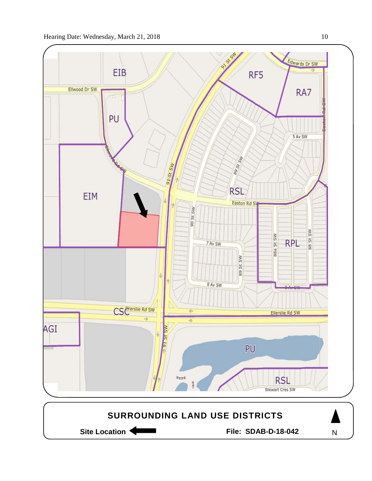

Site Location **Community Contract Contract Contract Contract Contract Contract Contract Contract Contract Contract Contract Contract Contract Contract Contract Contract Contract Contract Contract Contract Contract Contract** 

N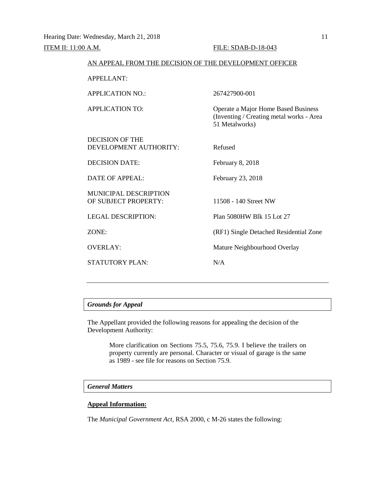| AN APPEAL FROM THE DECISION OF THE DEVELOPMENT OFFICER |                                                                                                   |  |  |
|--------------------------------------------------------|---------------------------------------------------------------------------------------------------|--|--|
| <b>APPELLANT:</b>                                      |                                                                                                   |  |  |
| <b>APPLICATION NO.:</b>                                | 267427900-001                                                                                     |  |  |
| <b>APPLICATION TO:</b>                                 | Operate a Major Home Based Business<br>(Inventing / Creating metal works - Area<br>51 Metalworks) |  |  |
| DECISION OF THE<br>DEVELOPMENT AUTHORITY:              | Refused                                                                                           |  |  |
| <b>DECISION DATE:</b>                                  | February 8, 2018                                                                                  |  |  |
| <b>DATE OF APPEAL:</b>                                 | February 23, 2018                                                                                 |  |  |
| <b>MUNICIPAL DESCRIPTION</b><br>OF SUBJECT PROPERTY:   | 11508 - 140 Street NW                                                                             |  |  |
| <b>LEGAL DESCRIPTION:</b>                              | Plan 5080HW Blk 15 Lot 27                                                                         |  |  |
| ZONE:                                                  | (RF1) Single Detached Residential Zone                                                            |  |  |
| <b>OVERLAY:</b>                                        | Mature Neighbourhood Overlay                                                                      |  |  |
| <b>STATUTORY PLAN:</b>                                 | N/A                                                                                               |  |  |
|                                                        |                                                                                                   |  |  |

## *Grounds for Appeal*

The Appellant provided the following reasons for appealing the decision of the Development Authority:

> More clarification on Sections 75.5, 75.6, 75.9. I believe the trailers on property currently are personal. Character or visual of garage is the same as 1989 - see file for reasons on Section 75.9.

### *General Matters*

## **Appeal Information:**

The *Municipal Government Act*, RSA 2000, c M-26 states the following: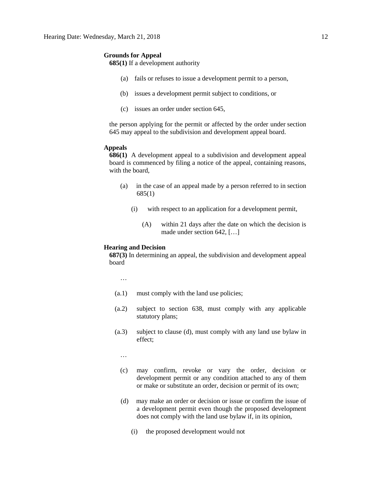#### **Grounds for Appeal**

**685(1)** If a development authority

- (a) fails or refuses to issue a development permit to a person,
- (b) issues a development permit subject to conditions, or
- (c) issues an order under section 645,

the person applying for the permit or affected by the order under section 645 may appeal to the subdivision and development appeal board.

#### **Appeals**

**686(1)** A development appeal to a subdivision and development appeal board is commenced by filing a notice of the appeal, containing reasons, with the board,

- (a) in the case of an appeal made by a person referred to in section 685(1)
	- (i) with respect to an application for a development permit,
		- (A) within 21 days after the date on which the decision is made under section 642, […]

## **Hearing and Decision**

**687(3)** In determining an appeal, the subdivision and development appeal board

…

- (a.1) must comply with the land use policies;
- (a.2) subject to section 638, must comply with any applicable statutory plans;
- (a.3) subject to clause (d), must comply with any land use bylaw in effect;

…

- (c) may confirm, revoke or vary the order, decision or development permit or any condition attached to any of them or make or substitute an order, decision or permit of its own;
- (d) may make an order or decision or issue or confirm the issue of a development permit even though the proposed development does not comply with the land use bylaw if, in its opinion,
	- (i) the proposed development would not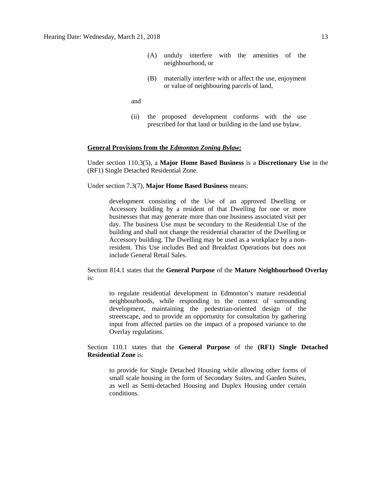- (A) unduly interfere with the amenities of the neighbourhood, or
- (B) materially interfere with or affect the use, enjoyment or value of neighbouring parcels of land,

and

(ii) the proposed development conforms with the use prescribed for that land or building in the land use bylaw.

#### **General Provisions from the** *Edmonton Zoning Bylaw:*

Under section 110.3(5), a **Major Home Based Business** is a **Discretionary Use** in the (RF1) Single Detached Residential Zone.

Under section 7.3(7), **Major Home Based Business** means:

development consisting of the Use of an approved Dwelling or Accessory building by a resident of that Dwelling for one or more businesses that may generate more than one business associated visit per day. The business Use must be secondary to the Residential Use of the building and shall not change the residential character of the Dwelling or Accessory building. The Dwelling may be used as a workplace by a nonresident. This Use includes Bed and Breakfast Operations but does not include General Retail Sales.

Section 814.1 states that the **General Purpose** of the **Mature Neighbourhood Overlay** is:

to regulate residential development in Edmonton's mature residential neighbourhoods, while responding to the context of surrounding development, maintaining the pedestrian-oriented design of the streetscape, and to provide an opportunity for consultation by gathering input from affected parties on the impact of a proposed variance to the Overlay regulations.

## Section 110.1 states that the **General Purpose** of the **(RF1) Single Detached Residential Zone** is:

to provide for Single Detached Housing while allowing other forms of small scale housing in the form of Secondary Suites, and Garden Suites, as well as Semi-detached Housing and Duplex Housing under certain conditions.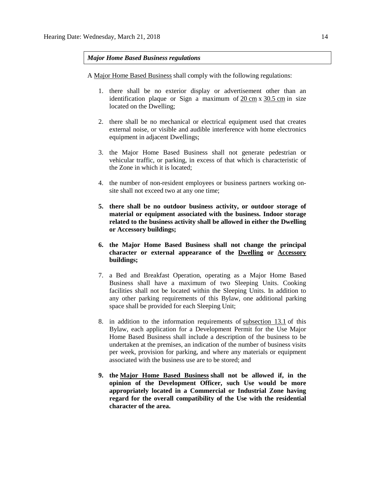### *Major Home Based Business regulations*

A [Major Home Based Business](javascript:void(0);) shall comply with the following regulations:

- 1. there shall be no exterior display or advertisement other than an identification plaque or Sign a maximum of 20 [cm](javascript:void(0);) x [30.5](javascript:void(0);) cm in size located on the Dwelling;
- 2. there shall be no mechanical or electrical equipment used that creates external noise, or visible and audible interference with home electronics equipment in adjacent Dwellings;
- 3. the Major Home Based Business shall not generate pedestrian or vehicular traffic, or parking, in excess of that which is characteristic of the Zone in which it is located;
- 4. the number of non-resident employees or business partners working onsite shall not exceed two at any one time;
- **5. there shall be no outdoor business activity, or outdoor storage of material or equipment associated with the business. Indoor storage related to the business activity shall be allowed in either the Dwelling or Accessory buildings;**
- **6. the Major Home Based Business shall not change the principal character or external appearance of the Dwelling or Accessory buildings;**
- 7. a Bed and Breakfast Operation, operating as a Major Home Based Business shall have a maximum of two Sleeping Units. Cooking facilities shall not be located within the Sleeping Units. In addition to any other parking requirements of this Bylaw, one additional parking space shall be provided for each Sleeping Unit;
- 8. in addition to the information requirements of [subsection 13.1](http://webdocs.edmonton.ca/InfraPlan/zoningbylaw/ZoningBylaw/Part1/Administrative/13__Development_Permit_Application.htm) of this Bylaw, each application for a Development Permit for the Use Major Home Based Business shall include a description of the business to be undertaken at the premises, an indication of the number of business visits per week, provision for parking, and where any materials or equipment associated with the business use are to be stored; and
- **9. the [Major Home Based Business](javascript:void(0);) shall not be allowed if, in the opinion of the Development Officer, such Use would be more appropriately located in a Commercial or Industrial Zone having regard for the overall compatibility of the Use with the residential character of the area.**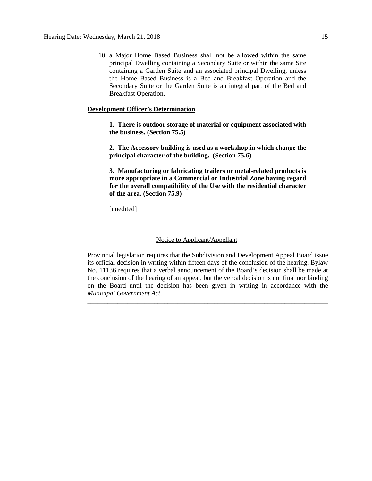10. a Major Home Based Business shall not be allowed within the same principal Dwelling containing a Secondary Suite or within the same Site containing a Garden Suite and an associated principal Dwelling, unless the Home Based Business is a Bed and Breakfast Operation and the Secondary Suite or the Garden Suite is an integral part of the Bed and Breakfast Operation.

#### **Development Officer's Determination**

**1. There is outdoor storage of material or equipment associated with the business. (Section 75.5)**

**2. The Accessory building is used as a workshop in which change the principal character of the building. (Section 75.6)**

**3. Manufacturing or fabricating trailers or metal-related products is more appropriate in a Commercial or Industrial Zone having regard for the overall compatibility of the Use with the residential character of the area. (Section 75.9)**

[unedited]

#### Notice to Applicant/Appellant

Provincial legislation requires that the Subdivision and Development Appeal Board issue its official decision in writing within fifteen days of the conclusion of the hearing. Bylaw No. 11136 requires that a verbal announcement of the Board's decision shall be made at the conclusion of the hearing of an appeal, but the verbal decision is not final nor binding on the Board until the decision has been given in writing in accordance with the *Municipal Government Act*.

\_\_\_\_\_\_\_\_\_\_\_\_\_\_\_\_\_\_\_\_\_\_\_\_\_\_\_\_\_\_\_\_\_\_\_\_\_\_\_\_\_\_\_\_\_\_\_\_\_\_\_\_\_\_\_\_\_\_\_\_\_\_\_\_\_\_\_\_\_\_\_\_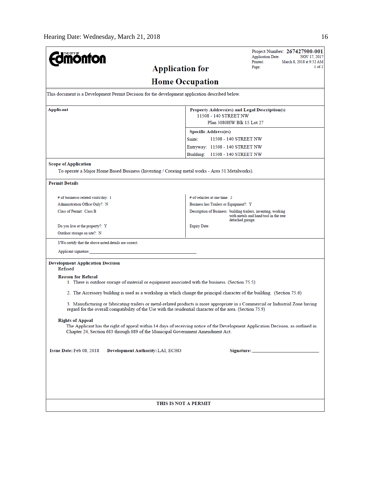| <b>ionton</b>                                                                                                                  | Project Number: 267427900-001<br><b>Application Date:</b><br>NOV 17, 2017<br>Printed:<br>March 8, 2018 at 9:52 AM                                                                                                                              |
|--------------------------------------------------------------------------------------------------------------------------------|------------------------------------------------------------------------------------------------------------------------------------------------------------------------------------------------------------------------------------------------|
|                                                                                                                                | $1$ of $2$<br>Page:<br><b>Application for</b>                                                                                                                                                                                                  |
|                                                                                                                                | <b>Home Occupation</b>                                                                                                                                                                                                                         |
| This document is a Development Permit Decision for the development application described below.                                |                                                                                                                                                                                                                                                |
| Applicant                                                                                                                      | Property Address(es) and Legal Description(s)<br>11508 - 140 STREET NW<br>Plan 5080HW Blk 15 Lot 27                                                                                                                                            |
|                                                                                                                                | <b>Specific Address(es)</b>                                                                                                                                                                                                                    |
|                                                                                                                                | 11508 - 140 STREET NW<br>Suite:                                                                                                                                                                                                                |
|                                                                                                                                | Entryway: 11508 - 140 STREET NW                                                                                                                                                                                                                |
|                                                                                                                                | Building: 11508 - 140 STREET NW                                                                                                                                                                                                                |
| <b>Scope of Application</b><br>To operate a Major Home Based Business (Inventing / Creating metal works - Area 51 Metalworks). |                                                                                                                                                                                                                                                |
| <b>Permit Details</b>                                                                                                          |                                                                                                                                                                                                                                                |
| # of businesss related visits/day: 1                                                                                           | # of vehicles at one time: 2                                                                                                                                                                                                                   |
| Administration Office Only?: N                                                                                                 | Business has Trailers or Equipment?: Y                                                                                                                                                                                                         |
| Class of Permit: Class B                                                                                                       | Description of Business: building trailers, inventing, working<br>with metals and hand tool in the rear<br>detached garage.                                                                                                                    |
| Do you live at the property?: Y                                                                                                | <b>Expiry Date:</b>                                                                                                                                                                                                                            |
| Outdoor storage on site?: N                                                                                                    |                                                                                                                                                                                                                                                |
| I/We certify that the above noted details are correct.                                                                         |                                                                                                                                                                                                                                                |
| Applicant signature:                                                                                                           |                                                                                                                                                                                                                                                |
| <b>Development Application Decision</b><br>Refused                                                                             |                                                                                                                                                                                                                                                |
| <b>Reason for Refusal</b>                                                                                                      | 1. There is outdoor storage of material or equipment associated with the business. (Section 75.5)                                                                                                                                              |
|                                                                                                                                | 2. The Accessory building is used as a workshop in which change the principal character of the building. (Section 75.6)                                                                                                                        |
|                                                                                                                                | 3. Manufacturing or fabricating trailers or metal-related products is more appropriate in a Commercial or Industrial Zone having<br>regard for the overall compatibility of the Use with the residential character of the area. (Section 75.9) |
| <b>Rights of Appeal</b><br>Chapter 24, Section 683 through 689 of the Municipal Government Amendment Act.                      | The Applicant has the right of appeal within 14 days of receiving notice of the Development Application Decision, as outlined in                                                                                                               |
| Issue Date: Feb 08, 2018<br>Development Authority: LAI, ECHO                                                                   |                                                                                                                                                                                                                                                |
|                                                                                                                                |                                                                                                                                                                                                                                                |
|                                                                                                                                |                                                                                                                                                                                                                                                |
|                                                                                                                                | THIS IS NOT A PERMIT                                                                                                                                                                                                                           |
|                                                                                                                                |                                                                                                                                                                                                                                                |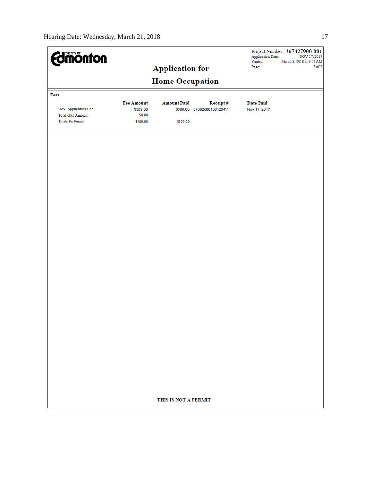| <b>Edimonton</b>                               |                               |                    |          | Printed:                         | Project Number: 267427900-001<br><b>Application Date:</b><br>NOV 17, 2017<br>March 8, 2018 at 9:52 AM |  |  |  |  |
|------------------------------------------------|-------------------------------|--------------------|----------|----------------------------------|-------------------------------------------------------------------------------------------------------|--|--|--|--|
| <b>Application for</b>                         |                               |                    | Page:    | $2$ of $2$                       |                                                                                                       |  |  |  |  |
| <b>Home Occupation</b>                         |                               |                    |          |                                  |                                                                                                       |  |  |  |  |
| Fees                                           |                               |                    |          |                                  |                                                                                                       |  |  |  |  |
| Dev. Application Fee                           | <b>Fee Amount</b><br>\$309.00 | <b>Amount Paid</b> | Receipt# | <b>Date Paid</b><br>Nov 17, 2017 |                                                                                                       |  |  |  |  |
| Total GST Amount:<br><b>Totals for Permit:</b> | \$0.00<br>\$309.00            | \$309.00           |          |                                  |                                                                                                       |  |  |  |  |
|                                                |                               |                    |          |                                  |                                                                                                       |  |  |  |  |
|                                                |                               |                    |          |                                  |                                                                                                       |  |  |  |  |
|                                                |                               |                    |          |                                  |                                                                                                       |  |  |  |  |
|                                                |                               |                    |          |                                  |                                                                                                       |  |  |  |  |
|                                                |                               |                    |          |                                  |                                                                                                       |  |  |  |  |
|                                                |                               |                    |          |                                  |                                                                                                       |  |  |  |  |
|                                                |                               |                    |          |                                  |                                                                                                       |  |  |  |  |
|                                                |                               |                    |          |                                  |                                                                                                       |  |  |  |  |
|                                                |                               |                    |          |                                  |                                                                                                       |  |  |  |  |
|                                                |                               |                    |          |                                  |                                                                                                       |  |  |  |  |
|                                                |                               |                    |          |                                  |                                                                                                       |  |  |  |  |
|                                                |                               |                    |          |                                  |                                                                                                       |  |  |  |  |
|                                                |                               |                    |          |                                  |                                                                                                       |  |  |  |  |
|                                                |                               |                    |          |                                  |                                                                                                       |  |  |  |  |
|                                                |                               |                    |          |                                  |                                                                                                       |  |  |  |  |
|                                                |                               |                    |          |                                  |                                                                                                       |  |  |  |  |
|                                                |                               |                    |          |                                  |                                                                                                       |  |  |  |  |
|                                                |                               |                    |          |                                  |                                                                                                       |  |  |  |  |
|                                                |                               |                    |          |                                  |                                                                                                       |  |  |  |  |
|                                                |                               |                    |          |                                  |                                                                                                       |  |  |  |  |
|                                                | THIS IS NOT A PERMIT          |                    |          |                                  |                                                                                                       |  |  |  |  |